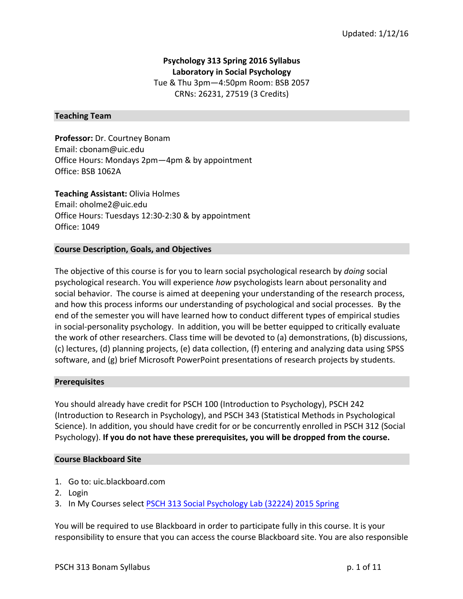# **Psychology 313 Spring 2016 Syllabus Laboratory in Social Psychology** Tue & Thu 3pm-4:50pm Room: BSB 2057 CRNs: 26231, 27519 (3 Credits)

#### **Teaching Team**

**Professor:** Dr. Courtney Bonam Email: cbonam@uic.edu Office Hours: Mondays 2pm-4pm & by appointment Office: BSB 1062A

**Teaching Assistant: Olivia Holmes** Email: oholme2@uic.edu Office Hours: Tuesdays 12:30-2:30 & by appointment Office: 1049

#### **Course Description, Goals, and Objectives**

The objective of this course is for you to learn social psychological research by *doing* social psychological research. You will experience *how* psychologists learn about personality and social behavior. The course is aimed at deepening your understanding of the research process, and how this process informs our understanding of psychological and social processes. By the end of the semester you will have learned how to conduct different types of empirical studies in social-personality psychology. In addition, you will be better equipped to critically evaluate the work of other researchers. Class time will be devoted to (a) demonstrations, (b) discussions, (c) lectures, (d) planning projects, (e) data collection, (f) entering and analyzing data using SPSS software, and (g) brief Microsoft PowerPoint presentations of research projects by students.

#### **Prerequisites**

You should already have credit for PSCH 100 (Introduction to Psychology), PSCH 242 (Introduction to Research in Psychology), and PSCH 343 (Statistical Methods in Psychological Science). In addition, you should have credit for or be concurrently enrolled in PSCH 312 (Social Psychology). If you do not have these prerequisites, you will be dropped from the course.

#### **Course Blackboard Site**

- 1. Go to: uic.blackboard.com
- 2. Login
- 3. In My Courses select PSCH 313 Social Psychology Lab (32224) 2015 Spring

You will be required to use Blackboard in order to participate fully in this course. It is your responsibility to ensure that you can access the course Blackboard site. You are also responsible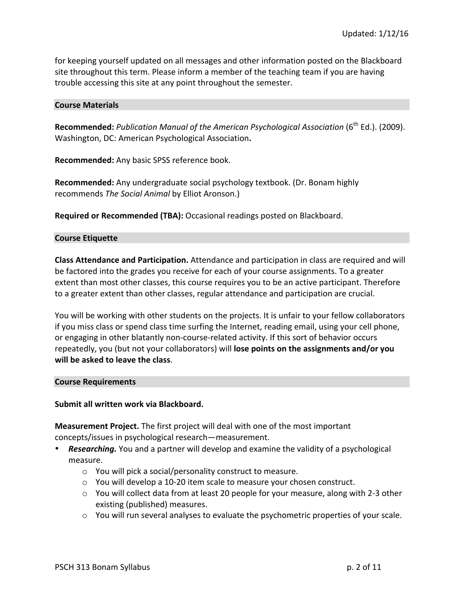for keeping yourself updated on all messages and other information posted on the Blackboard site throughout this term. Please inform a member of the teaching team if you are having trouble accessing this site at any point throughout the semester.

#### **Course Materials**

Recommended: *Publication Manual of the American Psychological Association* (6<sup>th</sup> Ed.). (2009). Washington, DC: American Psychological Association**.**

**Recommended:** Any basic SPSS reference book.

**Recommended:** Any undergraduate social psychology textbook. (Dr. Bonam highly recommends *The Social Animal* by Elliot Aronson.)

**Required or Recommended (TBA):** Occasional readings posted on Blackboard.

### **Course Etiquette**

**Class Attendance and Participation.** Attendance and participation in class are required and will be factored into the grades you receive for each of your course assignments. To a greater extent than most other classes, this course requires you to be an active participant. Therefore to a greater extent than other classes, regular attendance and participation are crucial.

You will be working with other students on the projects. It is unfair to your fellow collaborators if you miss class or spend class time surfing the Internet, reading email, using your cell phone, or engaging in other blatantly non-course-related activity. If this sort of behavior occurs repeatedly, you (but not your collaborators) will **lose points on the assignments and/or you will be asked to leave the class.** 

#### **Course Requirements**

#### Submit all written work via Blackboard.

**Measurement Project.** The first project will deal with one of the most important concepts/issues in psychological research—measurement.

- **Researching.** You and a partner will develop and examine the validity of a psychological measure.
	- $\circ$  You will pick a social/personality construct to measure.
	- $\circ$  You will develop a 10-20 item scale to measure your chosen construct.
	- $\circ$  You will collect data from at least 20 people for your measure, along with 2-3 other existing (published) measures.
	- $\circ$  You will run several analyses to evaluate the psychometric properties of your scale.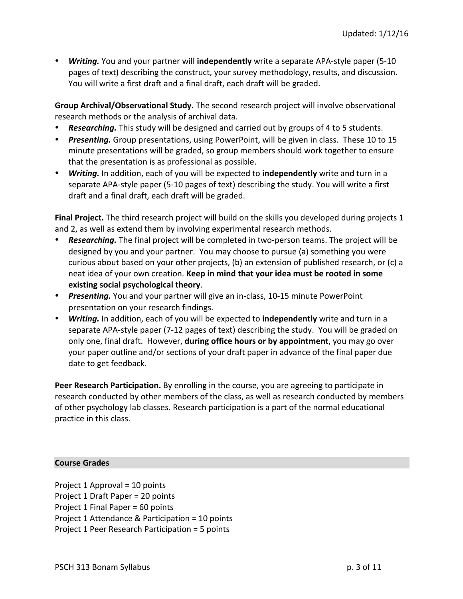• **Writing.** You and your partner will **independently** write a separate APA-style paper (5-10 pages of text) describing the construct, your survey methodology, results, and discussion. You will write a first draft and a final draft, each draft will be graded.

**Group Archival/Observational Study.** The second research project will involve observational research methods or the analysis of archival data.

- **Researching.** This study will be designed and carried out by groups of 4 to 5 students.
- **Presenting.** Group presentations, using PowerPoint, will be given in class. These 10 to 15 minute presentations will be graded, so group members should work together to ensure that the presentation is as professional as possible.
- *Writing.* In addition, each of you will be expected to **independently** write and turn in a separate APA-style paper (5-10 pages of text) describing the study. You will write a first draft and a final draft, each draft will be graded.

**Final Project.** The third research project will build on the skills you developed during projects 1 and 2, as well as extend them by involving experimental research methods.

- **Researching.** The final project will be completed in two-person teams. The project will be designed by you and your partner. You may choose to pursue (a) something you were curious about based on your other projects, (b) an extension of published research, or (c) a neat idea of your own creation. Keep in mind that your idea must be rooted in some **existing social psychological theory.**
- Presenting. You and your partner will give an in-class, 10-15 minute PowerPoint presentation on your research findings.
- **Writing.** In addition, each of you will be expected to **independently** write and turn in a separate APA-style paper (7-12 pages of text) describing the study. You will be graded on only one, final draft. However, **during office hours or by appointment**, you may go over your paper outline and/or sections of your draft paper in advance of the final paper due date to get feedback.

**Peer Research Participation.** By enrolling in the course, you are agreeing to participate in research conducted by other members of the class, as well as research conducted by members of other psychology lab classes. Research participation is a part of the normal educational practice in this class.

## **Course Grades**

Project  $1$  Approval =  $10$  points Project 1 Draft Paper = 20 points Project 1 Final Paper = 60 points Project 1 Attendance & Participation  $= 10$  points Project 1 Peer Research Participation = 5 points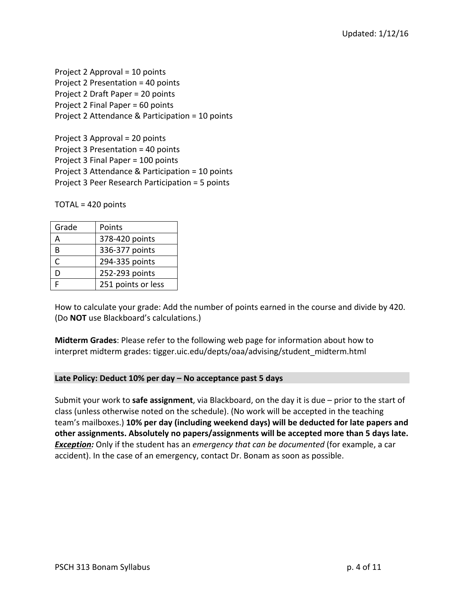Project 2 Approval  $=$  10 points Project 2 Presentation = 40 points Project 2 Draft Paper = 20 points Project 2 Final Paper  $= 60$  points Project 2 Attendance & Participation  $= 10$  points

Project  $3$  Approval =  $20$  points Project  $3$  Presentation =  $40$  points Project 3 Final Paper = 100 points Project 3 Attendance & Participation = 10 points Project 3 Peer Research Participation = 5 points

 $TOTAL = 420$  points

| Grade | Points             |
|-------|--------------------|
|       | 378-420 points     |
| R     | 336-377 points     |
| C     | 294-335 points     |
| D     | 252-293 points     |
|       | 251 points or less |

How to calculate your grade: Add the number of points earned in the course and divide by 420. (Do **NOT** use Blackboard's calculations.)

**Midterm Grades:** Please refer to the following web page for information about how to interpret midterm grades: tigger.uic.edu/depts/oaa/advising/student\_midterm.html

## Late Policy: Deduct 10% per day – No acceptance past 5 days

Submit your work to **safe assignment**, via Blackboard, on the day it is due – prior to the start of class (unless otherwise noted on the schedule). (No work will be accepted in the teaching team's mailboxes.) **10% per day (including weekend days) will be deducted for late papers and** other assignments. Absolutely no papers/assignments will be accepted more than 5 days late. **Exception:** Only if the student has an *emergency* that can be documented (for example, a car accident). In the case of an emergency, contact Dr. Bonam as soon as possible.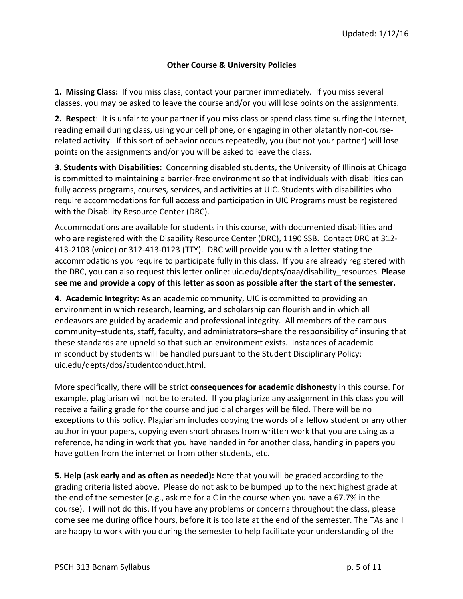## **Other Course & University Policies**

**1. Missing Class:** If you miss class, contact your partner immediately. If you miss several classes, you may be asked to leave the course and/or you will lose points on the assignments.

**2.** Respect: It is unfair to your partner if you miss class or spend class time surfing the Internet, reading email during class, using your cell phone, or engaging in other blatantly non-courserelated activity. If this sort of behavior occurs repeatedly, you (but not your partner) will lose points on the assignments and/or you will be asked to leave the class.

**3. Students with Disabilities:** Concerning disabled students, the University of Illinois at Chicago is committed to maintaining a barrier-free environment so that individuals with disabilities can fully access programs, courses, services, and activities at UIC. Students with disabilities who require accommodations for full access and participation in UIC Programs must be registered with the Disability Resource Center (DRC).

Accommodations are available for students in this course, with documented disabilities and who are registered with the Disability Resource Center (DRC), 1190 SSB. Contact DRC at 312-413-2103 (voice) or 312-413-0123 (TTY). DRC will provide you with a letter stating the accommodations you require to participate fully in this class. If you are already registered with the DRC, you can also request this letter online: uic.edu/depts/oaa/disability resources. **Please** see me and provide a copy of this letter as soon as possible after the start of the semester.

**4. Academic Integrity:** As an academic community, UIC is committed to providing an environment in which research, learning, and scholarship can flourish and in which all endeavors are guided by academic and professional integrity. All members of the campus community–students, staff, faculty, and administrators–share the responsibility of insuring that these standards are upheld so that such an environment exists. Instances of academic misconduct by students will be handled pursuant to the Student Disciplinary Policy: uic.edu/depts/dos/studentconduct.html. 

More specifically, there will be strict **consequences for academic dishonesty** in this course. For example, plagiarism will not be tolerated. If you plagiarize any assignment in this class you will receive a failing grade for the course and judicial charges will be filed. There will be no exceptions to this policy. Plagiarism includes copying the words of a fellow student or any other author in your papers, copying even short phrases from written work that you are using as a reference, handing in work that you have handed in for another class, handing in papers you have gotten from the internet or from other students, etc.

**5. Help (ask early and as often as needed):** Note that you will be graded according to the grading criteria listed above. Please do not ask to be bumped up to the next highest grade at the end of the semester (e.g., ask me for a C in the course when you have a 67.7% in the course). I will not do this. If you have any problems or concerns throughout the class, please come see me during office hours, before it is too late at the end of the semester. The TAs and I are happy to work with you during the semester to help facilitate your understanding of the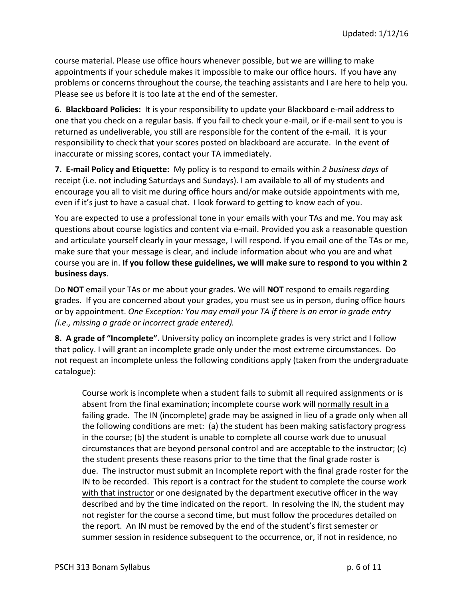course material. Please use office hours whenever possible, but we are willing to make appointments if your schedule makes it impossible to make our office hours. If you have any problems or concerns throughout the course, the teaching assistants and I are here to help you. Please see us before it is too late at the end of the semester.

**6. Blackboard Policies:** It is your responsibility to update your Blackboard e-mail address to one that you check on a regular basis. If you fail to check your e-mail, or if e-mail sent to you is returned as undeliverable, you still are responsible for the content of the e-mail. It is your responsibility to check that your scores posted on blackboard are accurate. In the event of inaccurate or missing scores, contact your TA immediately.

**7.** E-mail Policy and Etiquette: My policy is to respond to emails within 2 business days of receipt (i.e. not including Saturdays and Sundays). I am available to all of my students and encourage you all to visit me during office hours and/or make outside appointments with me, even if it's just to have a casual chat. I look forward to getting to know each of you.

You are expected to use a professional tone in your emails with your TAs and me. You may ask questions about course logistics and content via e-mail. Provided you ask a reasonable question and articulate yourself clearly in your message, I will respond. If you email one of the TAs or me, make sure that your message is clear, and include information about who you are and what course you are in. If you follow these guidelines, we will make sure to respond to you within 2 **business days**. 

Do **NOT** email your TAs or me about your grades. We will **NOT** respond to emails regarding grades. If you are concerned about your grades, you must see us in person, during office hours or by appointment. One Exception: You may email your TA if there is an error in grade entry *(i.e., missing a grade or incorrect grade entered).* 

**8.** A grade of "Incomplete". University policy on incomplete grades is very strict and I follow that policy. I will grant an incomplete grade only under the most extreme circumstances. Do not request an incomplete unless the following conditions apply (taken from the undergraduate catalogue): 

Course work is incomplete when a student fails to submit all required assignments or is absent from the final examination; incomplete course work will normally result in a failing grade. The IN (incomplete) grade may be assigned in lieu of a grade only when all the following conditions are met: (a) the student has been making satisfactory progress in the course; (b) the student is unable to complete all course work due to unusual circumstances that are beyond personal control and are acceptable to the instructor;  $(c)$ the student presents these reasons prior to the time that the final grade roster is due. The instructor must submit an Incomplete report with the final grade roster for the IN to be recorded. This report is a contract for the student to complete the course work with that instructor or one designated by the department executive officer in the way described and by the time indicated on the report. In resolving the IN, the student may not register for the course a second time, but must follow the procedures detailed on the report. An IN must be removed by the end of the student's first semester or summer session in residence subsequent to the occurrence, or, if not in residence, no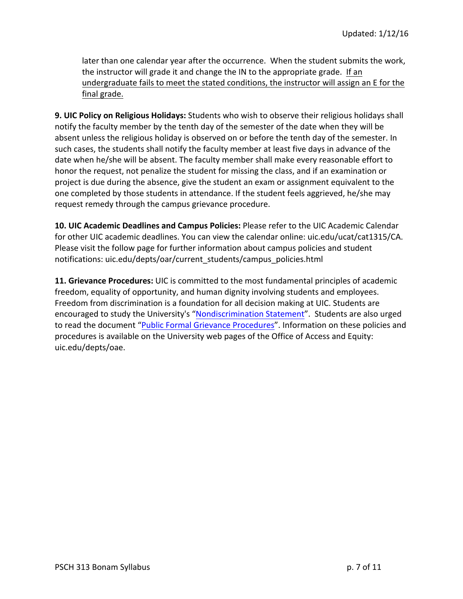later than one calendar year after the occurrence. When the student submits the work, the instructor will grade it and change the IN to the appropriate grade. If an undergraduate fails to meet the stated conditions, the instructor will assign an E for the final grade.

**9. UIC Policy on Religious Holidays:** Students who wish to observe their religious holidays shall notify the faculty member by the tenth day of the semester of the date when they will be absent unless the religious holiday is observed on or before the tenth day of the semester. In such cases, the students shall notify the faculty member at least five days in advance of the date when he/she will be absent. The faculty member shall make every reasonable effort to honor the request, not penalize the student for missing the class, and if an examination or project is due during the absence, give the student an exam or assignment equivalent to the one completed by those students in attendance. If the student feels aggrieved, he/she may request remedy through the campus grievance procedure.

**10. UIC Academic Deadlines and Campus Policies: Please refer to the UIC Academic Calendar** for other UIC academic deadlines. You can view the calendar online: uic.edu/ucat/cat1315/CA. Please visit the follow page for further information about campus policies and student notifications: uic.edu/depts/oar/current\_students/campus\_policies.html

**11. Grievance Procedures:** UIC is committed to the most fundamental principles of academic freedom, equality of opportunity, and human dignity involving students and employees. Freedom from discrimination is a foundation for all decision making at UIC. Students are encouraged to study the University's "Nondiscrimination Statement". Students are also urged to read the document "Public Formal Grievance Procedures". Information on these policies and procedures is available on the University web pages of the Office of Access and Equity: uic.edu/depts/oae.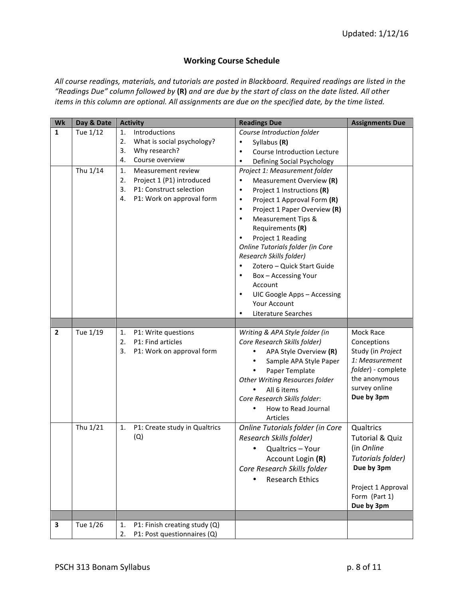## **Working Course Schedule**

All course readings, materials, and tutorials are posted in Blackboard. Required readings are listed in the *"Readings Due" column followed by* **(R)** *and are due by the start of class on the date listed. All other items* in this column are optional. All assignments are due on the specified date, by the time listed.

| Wk           | Day & Date           | <b>Activity</b>                                                                                                                                                                                                                            | <b>Readings Due</b>                                                                                                                                                                                                                                                                                                                                                                                                                                                                                                                                                                                                                          | <b>Assignments Due</b>                                                                                                                        |
|--------------|----------------------|--------------------------------------------------------------------------------------------------------------------------------------------------------------------------------------------------------------------------------------------|----------------------------------------------------------------------------------------------------------------------------------------------------------------------------------------------------------------------------------------------------------------------------------------------------------------------------------------------------------------------------------------------------------------------------------------------------------------------------------------------------------------------------------------------------------------------------------------------------------------------------------------------|-----------------------------------------------------------------------------------------------------------------------------------------------|
| $\mathbf{1}$ | Tue 1/12<br>Thu 1/14 | Introductions<br>1.<br>2.<br>What is social psychology?<br>3.<br>Why research?<br>Course overview<br>4.<br>1.<br>Measurement review<br>2.<br>Project 1 (P1) introduced<br>3.<br>P1: Construct selection<br>P1: Work on approval form<br>4. | Course Introduction folder<br>Syllabus (R)<br>$\bullet$<br>Course Introduction Lecture<br>$\bullet$<br>Defining Social Psychology<br>٠<br>Project 1: Measurement folder<br>Measurement Overview (R)<br>$\bullet$<br>Project 1 Instructions (R)<br>$\bullet$<br>Project 1 Approval Form (R)<br>$\bullet$<br>Project 1 Paper Overview (R)<br>$\bullet$<br><b>Measurement Tips &amp;</b><br>$\bullet$<br>Requirements (R)<br>Project 1 Reading<br>Online Tutorials folder (in Core<br>Research Skills folder)<br>Zotero - Quick Start Guide<br>Box - Accessing Your<br>٠<br>Account<br>UIC Google Apps - Accessing<br>$\bullet$<br>Your Account |                                                                                                                                               |
|              |                      |                                                                                                                                                                                                                                            | Literature Searches<br>٠                                                                                                                                                                                                                                                                                                                                                                                                                                                                                                                                                                                                                     |                                                                                                                                               |
| $\mathbf{2}$ | Tue 1/19             | P1: Write questions<br>1.<br>P1: Find articles<br>2.<br>3.<br>P1: Work on approval form                                                                                                                                                    | Writing & APA Style folder (in<br>Core Research Skills folder)<br>APA Style Overview (R)<br>٠<br>Sample APA Style Paper<br>Paper Template<br>$\bullet$<br><b>Other Writing Resources folder</b><br>All 6 items<br>Core Research Skills folder:<br>How to Read Journal<br><b>Articles</b>                                                                                                                                                                                                                                                                                                                                                     | Mock Race<br>Conceptions<br>Study (in Project<br>1: Measurement<br>folder) - complete<br>the anonymous<br>survey online<br>Due by 3pm         |
|              | Thu 1/21             | P1: Create study in Qualtrics<br>1.<br>(Q)                                                                                                                                                                                                 | Online Tutorials folder (in Core<br>Research Skills folder)<br>Qualtrics - Your<br>Account Login (R)<br>Core Research Skills folder<br><b>Research Ethics</b>                                                                                                                                                                                                                                                                                                                                                                                                                                                                                | Qualtrics<br><b>Tutorial &amp; Quiz</b><br>(in Online<br>Tutorials folder)<br>Due by 3pm<br>Project 1 Approval<br>Form (Part 1)<br>Due by 3pm |
| 3            | Tue 1/26             | 1.<br>P1: Finish creating study (Q)                                                                                                                                                                                                        |                                                                                                                                                                                                                                                                                                                                                                                                                                                                                                                                                                                                                                              |                                                                                                                                               |
|              |                      | 2.<br>P1: Post questionnaires (Q)                                                                                                                                                                                                          |                                                                                                                                                                                                                                                                                                                                                                                                                                                                                                                                                                                                                                              |                                                                                                                                               |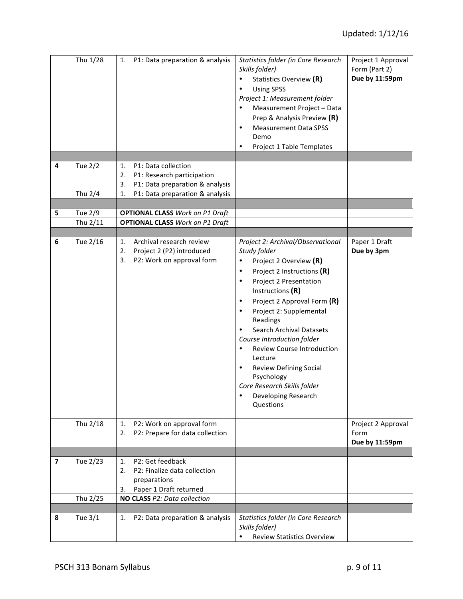|                         | Thu 1/28       | P1: Data preparation & analysis<br>1.                                                                  | Statistics folder (in Core Research<br>Skills folder)<br>Statistics Overview (R)<br>$\bullet$<br><b>Using SPSS</b><br>٠<br>Project 1: Measurement folder<br>Measurement Project - Data<br>Prep & Analysis Preview (R)<br><b>Measurement Data SPSS</b><br>٠<br>Demo<br>Project 1 Table Templates<br>$\bullet$                                                                                                                                                                                                                    | Project 1 Approval<br>Form (Part 2)<br>Due by 11:59pm |
|-------------------------|----------------|--------------------------------------------------------------------------------------------------------|---------------------------------------------------------------------------------------------------------------------------------------------------------------------------------------------------------------------------------------------------------------------------------------------------------------------------------------------------------------------------------------------------------------------------------------------------------------------------------------------------------------------------------|-------------------------------------------------------|
|                         |                |                                                                                                        |                                                                                                                                                                                                                                                                                                                                                                                                                                                                                                                                 |                                                       |
| 4                       | <b>Tue 2/2</b> | P1: Data collection<br>1.<br>2.<br>P1: Research participation<br>3.<br>P1: Data preparation & analysis |                                                                                                                                                                                                                                                                                                                                                                                                                                                                                                                                 |                                                       |
|                         | Thu 2/4        | 1.<br>P1: Data preparation & analysis                                                                  |                                                                                                                                                                                                                                                                                                                                                                                                                                                                                                                                 |                                                       |
| 5                       | Tue 2/9        | <b>OPTIONAL CLASS Work on P1 Draft</b>                                                                 |                                                                                                                                                                                                                                                                                                                                                                                                                                                                                                                                 |                                                       |
|                         | Thu 2/11       | <b>OPTIONAL CLASS Work on P1 Draft</b>                                                                 |                                                                                                                                                                                                                                                                                                                                                                                                                                                                                                                                 |                                                       |
|                         |                |                                                                                                        |                                                                                                                                                                                                                                                                                                                                                                                                                                                                                                                                 |                                                       |
| 6                       | Tue 2/16       | Archival research review<br>1.<br>2.<br>Project 2 (P2) introduced<br>P2: Work on approval form<br>3.   | Project 2: Archival/Observational<br>Study folder<br>Project 2 Overview (R)<br>$\bullet$<br>Project 2 Instructions (R)<br>$\bullet$<br>Project 2 Presentation<br>$\bullet$<br>Instructions (R)<br>Project 2 Approval Form (R)<br>$\bullet$<br>Project 2: Supplemental<br>$\bullet$<br>Readings<br>Search Archival Datasets<br>Course Introduction folder<br><b>Review Course Introduction</b><br>Lecture<br><b>Review Defining Social</b><br>٠<br>Psychology<br>Core Research Skills folder<br>Developing Research<br>Questions | Paper 1 Draft<br>Due by 3pm                           |
|                         | Thu 2/18       | P2: Work on approval form<br>1.<br>P2: Prepare for data collection<br>2.                               |                                                                                                                                                                                                                                                                                                                                                                                                                                                                                                                                 | Project 2 Approval<br>Form<br>Due by 11:59pm          |
| $\overline{\mathbf{z}}$ | Tue 2/23       | P2: Get feedback<br>1.                                                                                 |                                                                                                                                                                                                                                                                                                                                                                                                                                                                                                                                 |                                                       |
|                         |                | P2: Finalize data collection<br>2.<br>preparations<br>Paper 1 Draft returned<br>3.                     |                                                                                                                                                                                                                                                                                                                                                                                                                                                                                                                                 |                                                       |
|                         | Thu 2/25       | NO CLASS P2: Data collection                                                                           |                                                                                                                                                                                                                                                                                                                                                                                                                                                                                                                                 |                                                       |
|                         |                |                                                                                                        |                                                                                                                                                                                                                                                                                                                                                                                                                                                                                                                                 |                                                       |
| 8                       | Tue 3/1        | P2: Data preparation & analysis<br>1.                                                                  | Statistics folder (in Core Research<br>Skills folder)<br><b>Review Statistics Overview</b>                                                                                                                                                                                                                                                                                                                                                                                                                                      |                                                       |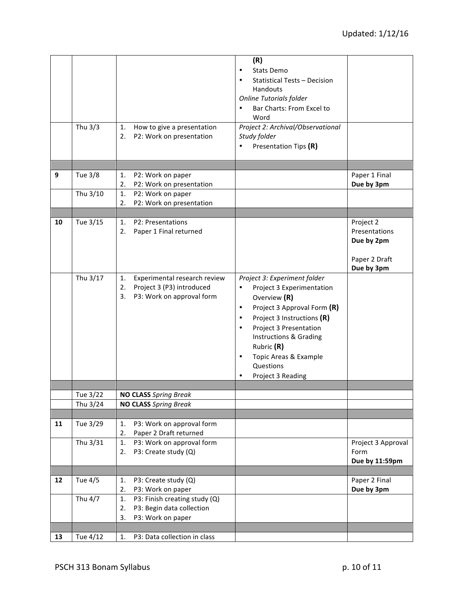|    | Thu 3/3  | How to give a presentation<br>1.<br>2.<br>P2: Work on presentation                                       | (R)<br>Stats Demo<br>٠<br><b>Statistical Tests - Decision</b><br>Handouts<br>Online Tutorials folder<br>Bar Charts: From Excel to<br>$\bullet$<br>Word<br>Project 2: Archival/Observational<br>Study folder<br>Presentation Tips (R)<br>٠                                                                                    |                                                                         |
|----|----------|----------------------------------------------------------------------------------------------------------|------------------------------------------------------------------------------------------------------------------------------------------------------------------------------------------------------------------------------------------------------------------------------------------------------------------------------|-------------------------------------------------------------------------|
| 9  | Tue 3/8  | 1.<br>P2: Work on paper                                                                                  |                                                                                                                                                                                                                                                                                                                              | Paper 1 Final                                                           |
|    |          | 2.<br>P2: Work on presentation                                                                           |                                                                                                                                                                                                                                                                                                                              | Due by 3pm                                                              |
|    | Thu 3/10 | 1.<br>P2: Work on paper                                                                                  |                                                                                                                                                                                                                                                                                                                              |                                                                         |
|    |          | P2: Work on presentation<br>2.                                                                           |                                                                                                                                                                                                                                                                                                                              |                                                                         |
| 10 | Tue 3/15 | P2: Presentations<br>1.<br>Paper 1 Final returned<br>2.                                                  |                                                                                                                                                                                                                                                                                                                              | Project 2<br>Presentations<br>Due by 2pm<br>Paper 2 Draft<br>Due by 3pm |
|    | Thu 3/17 | Experimental research review<br>1.<br>Project 3 (P3) introduced<br>2.<br>P3: Work on approval form<br>3. | Project 3: Experiment folder<br>Project 3 Experimentation<br>$\bullet$<br>Overview (R)<br>Project 3 Approval Form (R)<br>٠<br>Project 3 Instructions (R)<br>$\bullet$<br>Project 3 Presentation<br>$\bullet$<br>Instructions & Grading<br>Rubric (R)<br>Topic Areas & Example<br>$\bullet$<br>Questions<br>Project 3 Reading |                                                                         |
|    | Tue 3/22 | <b>NO CLASS</b> Spring Break                                                                             |                                                                                                                                                                                                                                                                                                                              |                                                                         |
|    | Thu 3/24 | <b>NO CLASS Spring Break</b>                                                                             |                                                                                                                                                                                                                                                                                                                              |                                                                         |
|    |          |                                                                                                          |                                                                                                                                                                                                                                                                                                                              |                                                                         |
| 11 | Tue 3/29 | P3: Work on approval form<br>1.<br>Paper 2 Draft returned<br>2.                                          |                                                                                                                                                                                                                                                                                                                              |                                                                         |
|    | Thu 3/31 | 1.<br>P3: Work on approval form<br>2.<br>P3: Create study (Q)                                            |                                                                                                                                                                                                                                                                                                                              | Project 3 Approval<br>Form<br>Due by 11:59pm                            |
| 12 |          |                                                                                                          |                                                                                                                                                                                                                                                                                                                              | Paper 2 Final                                                           |
|    | Tue 4/5  | P3: Create study (Q)<br>1.<br>2.<br>P3: Work on paper                                                    |                                                                                                                                                                                                                                                                                                                              | Due by 3pm                                                              |
|    | Thu 4/7  | P3: Finish creating study (Q)<br>1.<br>P3: Begin data collection<br>2.<br>3.<br>P3: Work on paper        |                                                                                                                                                                                                                                                                                                                              |                                                                         |
| 13 |          | 1.                                                                                                       |                                                                                                                                                                                                                                                                                                                              |                                                                         |
|    | Tue 4/12 | P3: Data collection in class                                                                             |                                                                                                                                                                                                                                                                                                                              |                                                                         |